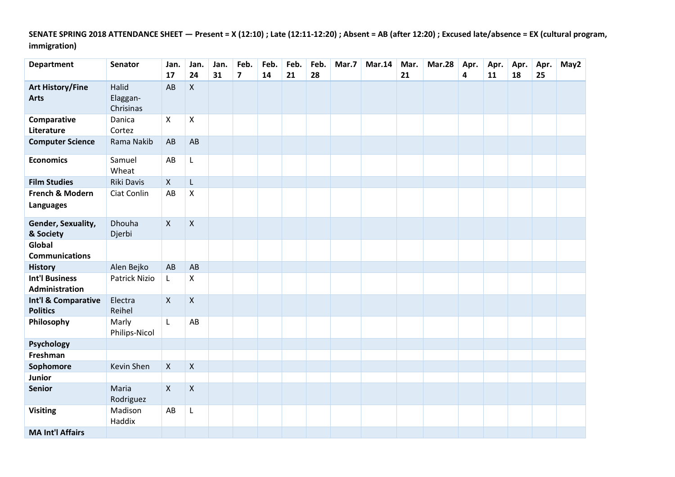**SENATE SPRING 2018 ATTENDANCE SHEET — Present = X (12:10) ; Late (12:11-12:20) ; Absent = AB (after 12:20) ; Excused late/absence = EX (cultural program, immigration)**

| <b>Department</b>                              | Senator                        | Jan.<br>17   | Jan.<br>24         | Jan.<br>31 | Feb.<br>$\overline{\mathbf{z}}$ | Feb.<br>14 | Feb.<br>21 | Feb.<br>28 | Mar.7 | <b>Mar.14</b> | Mar.<br>21 | <b>Mar.28</b> | Apr.<br>4 | Apr.<br>11 | Apr.<br>18 | Apr.<br>25 | May2 |
|------------------------------------------------|--------------------------------|--------------|--------------------|------------|---------------------------------|------------|------------|------------|-------|---------------|------------|---------------|-----------|------------|------------|------------|------|
| <b>Art History/Fine</b><br><b>Arts</b>         | Halid<br>Elaggan-<br>Chrisinas | AB           | $\mathsf{X}$       |            |                                 |            |            |            |       |               |            |               |           |            |            |            |      |
| Comparative<br>Literature                      | Danica<br>Cortez               | X            | X                  |            |                                 |            |            |            |       |               |            |               |           |            |            |            |      |
| <b>Computer Science</b>                        | Rama Nakib                     | AB           | AB                 |            |                                 |            |            |            |       |               |            |               |           |            |            |            |      |
| <b>Economics</b>                               | Samuel<br>Wheat                | AB           | L                  |            |                                 |            |            |            |       |               |            |               |           |            |            |            |      |
| <b>Film Studies</b>                            | Riki Davis                     | $\mathsf{X}$ | L                  |            |                                 |            |            |            |       |               |            |               |           |            |            |            |      |
| French & Modern<br><b>Languages</b>            | Ciat Conlin                    | AB           | X                  |            |                                 |            |            |            |       |               |            |               |           |            |            |            |      |
| Gender, Sexuality,<br>& Society                | Dhouha<br>Djerbi               | $\mathsf{X}$ | $\mathsf X$        |            |                                 |            |            |            |       |               |            |               |           |            |            |            |      |
| Global<br><b>Communications</b>                |                                |              |                    |            |                                 |            |            |            |       |               |            |               |           |            |            |            |      |
| <b>History</b>                                 | Alen Bejko                     | AB           | AB                 |            |                                 |            |            |            |       |               |            |               |           |            |            |            |      |
| <b>Int'l Business</b><br><b>Administration</b> | <b>Patrick Nizio</b>           | L.           | X                  |            |                                 |            |            |            |       |               |            |               |           |            |            |            |      |
| Int'l & Comparative<br><b>Politics</b>         | Electra<br>Reihel              | $\mathsf{X}$ | $\pmb{\mathsf{X}}$ |            |                                 |            |            |            |       |               |            |               |           |            |            |            |      |
| Philosophy                                     | Marly<br>Philips-Nicol         | L            | AB                 |            |                                 |            |            |            |       |               |            |               |           |            |            |            |      |
| Psychology                                     |                                |              |                    |            |                                 |            |            |            |       |               |            |               |           |            |            |            |      |
| Freshman                                       |                                |              |                    |            |                                 |            |            |            |       |               |            |               |           |            |            |            |      |
| Sophomore                                      | Kevin Shen                     | $\mathsf{X}$ | $\mathsf X$        |            |                                 |            |            |            |       |               |            |               |           |            |            |            |      |
| Junior                                         |                                |              |                    |            |                                 |            |            |            |       |               |            |               |           |            |            |            |      |
| <b>Senior</b>                                  | Maria<br>Rodriguez             | $\mathsf{X}$ | $\mathsf{X}$       |            |                                 |            |            |            |       |               |            |               |           |            |            |            |      |
| <b>Visiting</b>                                | Madison<br>Haddix              | AB           | L                  |            |                                 |            |            |            |       |               |            |               |           |            |            |            |      |
| <b>MA Int'l Affairs</b>                        |                                |              |                    |            |                                 |            |            |            |       |               |            |               |           |            |            |            |      |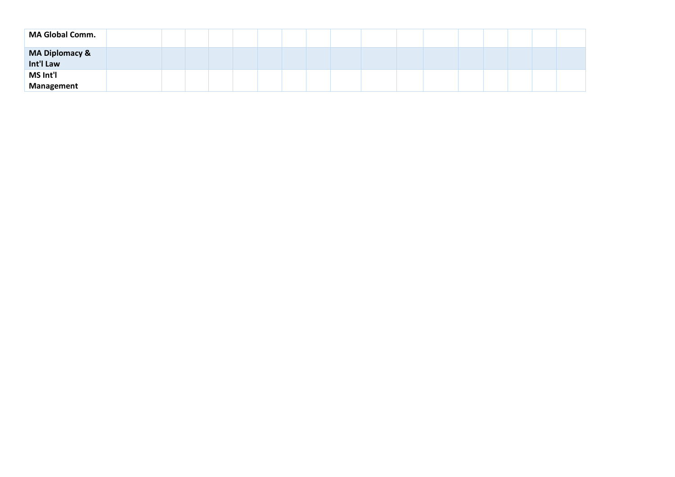| <b>MA Global Comm.</b>        |  |  |  |  |  |  |  |  |  |
|-------------------------------|--|--|--|--|--|--|--|--|--|
| MA Diplomacy &<br>Int'l Law   |  |  |  |  |  |  |  |  |  |
| <b>MS Int'l</b><br>Management |  |  |  |  |  |  |  |  |  |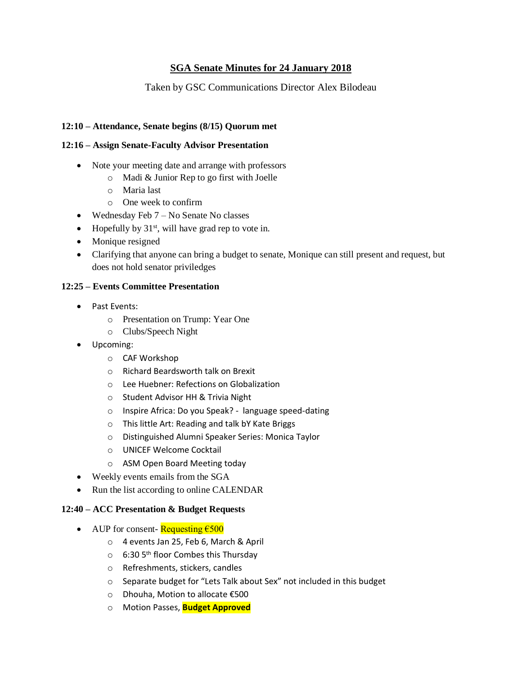## **SGA Senate Minutes for 24 January 2018**

## Taken by GSC Communications Director Alex Bilodeau

#### **12:10 – Attendance, Senate begins (8/15) Quorum met**

#### **12:16 – Assign Senate-Faculty Advisor Presentation**

- Note your meeting date and arrange with professors
	- o Madi & Junior Rep to go first with Joelle
	- o Maria last
	- o One week to confirm
- Wednesday Feb 7 No Senate No classes
- Hopefully by  $31<sup>st</sup>$ , will have grad rep to vote in.
- Monique resigned
- Clarifying that anyone can bring a budget to senate, Monique can still present and request, but does not hold senator priviledges

#### **12:25 – Events Committee Presentation**

- Past Events:
	- o Presentation on Trump: Year One
	- o Clubs/Speech Night
- Upcoming:
	- o CAF Workshop
	- o Richard Beardsworth talk on Brexit
	- o Lee Huebner: Refections on Globalization
	- o Student Advisor HH & Trivia Night
	- o Inspire Africa: Do you Speak? language speed-dating
	- o This little Art: Reading and talk bY Kate Briggs
	- o Distinguished Alumni Speaker Series: Monica Taylor
	- o UNICEF Welcome Cocktail
	- o ASM Open Board Meeting today
- Weekly events emails from the SGA
- Run the list according to online CALENDAR

#### **12:40 – ACC Presentation & Budget Requests**

- AUP for consent- Requesting  $\epsilon$ 500
	- o 4 events Jan 25, Feb 6, March & April
	- o 6:30 5<sup>th</sup> floor Combes this Thursday
	- o Refreshments, stickers, candles
	- o Separate budget for "Lets Talk about Sex" not included in this budget
	- o Dhouha, Motion to allocate €500
	- o Motion Passes, **Budget Approved**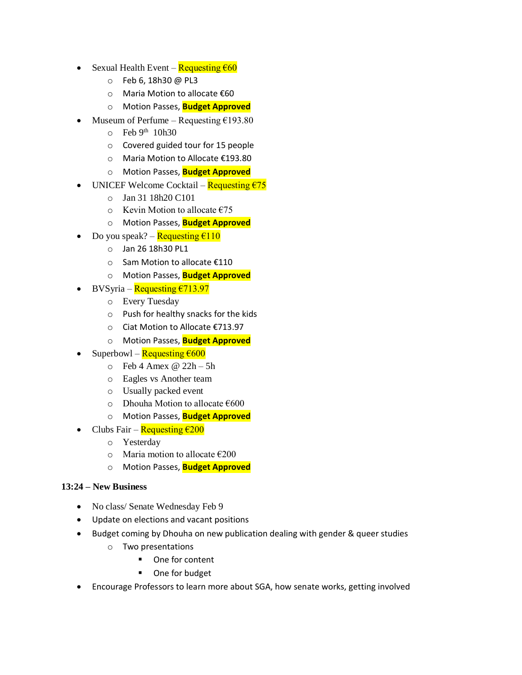- Sexual Health Event Requesting  $660$ 
	- o Feb 6, 18h30 @ PL3
	- o Maria Motion to allocate €60
	- o Motion Passes, **Budget Approved**
- Museum of Perfume Requesting  $£193.80$ 
	- $\circ$  Feb 9<sup>th</sup> 10h30
	- o Covered guided tour for 15 people
	- o Maria Motion to Allocate €193.80
	- o Motion Passes, **Budget Approved**
- UNICEF Welcome Cocktail Requesting  $\epsilon$ 75
	- o Jan 31 18h20 C101
	- $\circ$  Kevin Motion to allocate  $\epsilon$ 75
	- o Motion Passes, **Budget Approved**
- Do you speak? Requesting  $\epsilon$ 110
	- o Jan 26 18h30 PL1
	- o Sam Motion to allocate €110
	- o Motion Passes, **Budget Approved**
- BVSyria Requesting €713.97
	- o Every Tuesday
	- o Push for healthy snacks for the kids
	- o Ciat Motion to Allocate €713.97
	- o Motion Passes, **Budget Approved**
- Superbowl Requesting  $\epsilon$ 600
	- $\circ$  Feb 4 Amex @ 22h 5h
	- o Eagles vs Another team
	- o Usually packed event
	- o Dhouha Motion to allocate €600
	- o Motion Passes, **Budget Approved**
- Clubs Fair Requesting  $\epsilon$ 200
	- o Yesterday
	- $\circ$  Maria motion to allocate  $\epsilon$ 200
	- o Motion Passes, **Budget Approved**

### **13:24 – New Business**

- No class/ Senate Wednesday Feb 9
- Update on elections and vacant positions
- Budget coming by Dhouha on new publication dealing with gender & queer studies
	- o Two presentations
		- One for content
		- One for budget
- Encourage Professors to learn more about SGA, how senate works, getting involved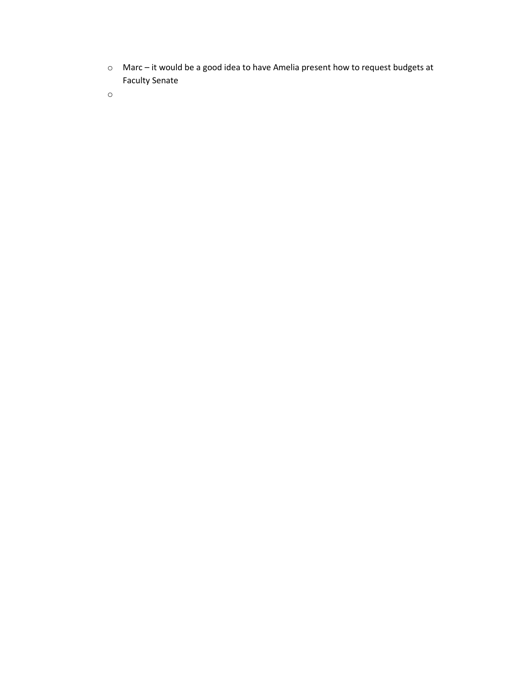- o Marc it would be a good idea to have Amelia present how to request budgets at Faculty Senate
- o